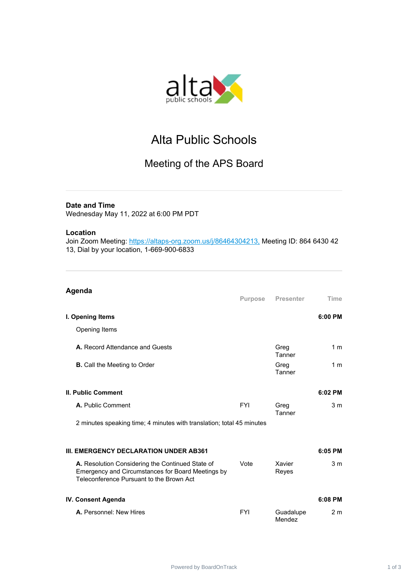

# Alta Public Schools

## Meeting of the APS Board

### **Date and Time**

Wednesday May 11, 2022 at 6:00 PM PDT

#### **Location**

Join Zoom Meeting: <https://altaps-org.zoom.us/j/86464304213,> Meeting ID: 864 6430 42 13, Dial by your location, 1-669-900-6833

| Agenda                                                                                                                                            | <b>Purpose</b> | <b>Presenter</b>    | Time           |
|---------------------------------------------------------------------------------------------------------------------------------------------------|----------------|---------------------|----------------|
| I. Opening Items                                                                                                                                  |                |                     | 6:00 PM        |
| Opening Items                                                                                                                                     |                |                     |                |
| A. Record Attendance and Guests                                                                                                                   |                | Greg<br>Tanner      | 1 <sub>m</sub> |
| <b>B.</b> Call the Meeting to Order                                                                                                               |                | Greg<br>Tanner      | 1 <sub>m</sub> |
| <b>II. Public Comment</b>                                                                                                                         |                |                     | 6:02 PM        |
| A. Public Comment                                                                                                                                 | <b>FYI</b>     | Greg<br>Tanner      | 3 <sub>m</sub> |
| 2 minutes speaking time; 4 minutes with translation; total 45 minutes                                                                             |                |                     |                |
| III. EMERGENCY DECLARATION UNDER AB361                                                                                                            |                |                     | 6:05 PM        |
| A. Resolution Considering the Continued State of<br>Emergency and Circumstances for Board Meetings by<br>Teleconference Pursuant to the Brown Act | Vote           | Xavier<br>Reyes     | 3 <sub>m</sub> |
| IV. Consent Agenda                                                                                                                                |                |                     | 6:08 PM        |
| A. Personnel: New Hires                                                                                                                           | <b>FYI</b>     | Guadalupe<br>Mendez | 2 <sub>m</sub> |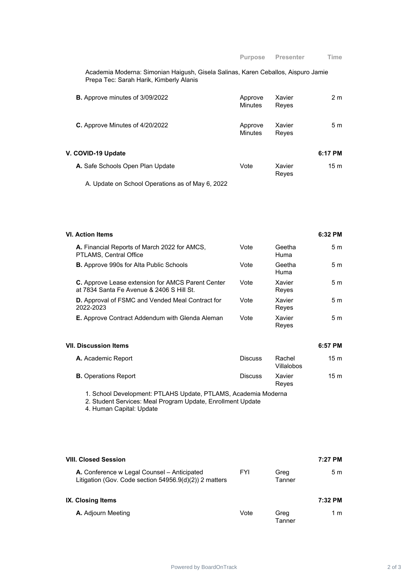Academia Moderna: Simonian Haigush, Gisela Salinas, Karen Ceballos, Aispuro Jamie Prepa Tec: Sarah Harik, Kimberly Alanis

| <b>B.</b> Approve minutes of 3/09/2022 | Approve<br><b>Minutes</b> | Xavier<br>Reyes | 2 m             |
|----------------------------------------|---------------------------|-----------------|-----------------|
| C. Approve Minutes of 4/20/2022        | Approve<br><b>Minutes</b> | Xavier<br>Reyes | 5 m             |
| V. COVID-19 Update                     |                           |                 | 6:17 PM         |
| A. Safe Schools Open Plan Update       | Vote                      | Xavier<br>Reyes | 15 <sub>m</sub> |

A. Update on School Operations as of May 6, 2022

| VI. Action Items                                                                                      |      |                 | 6:32 PM        |
|-------------------------------------------------------------------------------------------------------|------|-----------------|----------------|
| A. Financial Reports of March 2022 for AMCS,<br>PTLAMS, Central Office                                | Vote | Geetha<br>Huma  | 5m             |
| <b>B.</b> Approve 990s for Alta Public Schools                                                        | Vote | Geetha<br>Huma  | 5m             |
| <b>C.</b> Approve Lease extension for AMCS Parent Center<br>at 7834 Santa Fe Avenue & 2406 S Hill St. | Vote | Xavier<br>Reyes | 5m             |
| <b>D.</b> Approval of FSMC and Vended Meal Contract for<br>2022-2023                                  | Vote | Xavier<br>Reyes | 5 <sub>m</sub> |
| <b>E.</b> Approve Contract Addendum with Glenda Aleman                                                | Vote | Xavier<br>Reyes | 5 m            |

#### **VII. Discussion Items 6:57 PM**

| <b>A.</b> Academic Report   | <b>Discuss</b> | Rachel<br>Villalobos | 15 m            |
|-----------------------------|----------------|----------------------|-----------------|
| <b>B.</b> Operations Report | <b>Discuss</b> | Xavier<br>Reves      | 15 <sub>m</sub> |

1. School Development: PTLAHS Update, PTLAMS, Academia Moderna

2. Student Services: Meal Program Update, Enrollment Update

4. Human Capital: Update

| <b>VIII. Closed Session</b>                                                                              |            |                | 7:27 PM |
|----------------------------------------------------------------------------------------------------------|------------|----------------|---------|
| A. Conference w Legal Counsel – Anticipated<br>Litigation (Gov. Code section $54956.9(d)(2)$ ) 2 matters | <b>FYI</b> | Greg<br>Tanner | 5m      |
| <b>IX. Closing Items</b>                                                                                 |            |                | 7:32 PM |
| <b>A.</b> Adjourn Meeting                                                                                | Vote       | Greg<br>Tanner | 1 m     |